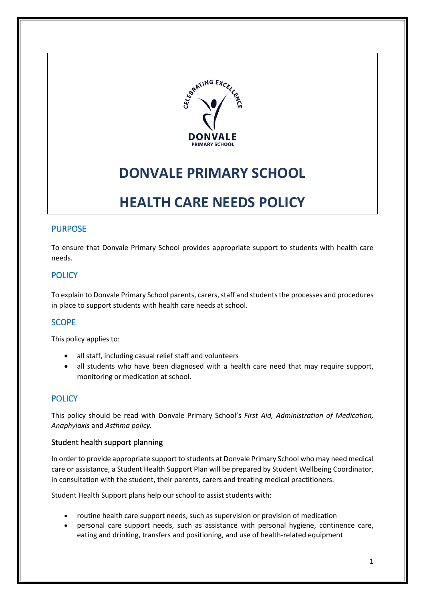

# **DONVALE PRIMARY SCHOOL**

# **HEALTH CARE NEEDS POLICY**

## PURPOSE

To ensure that Donvale Primary School provides appropriate support to students with health care needs.

# **POLICY**

To explain to Donvale Primary School parents, carers, staff and students the processes and procedures in place to support students with health care needs at school.

# **SCOPE**

This policy applies to:

- all staff, including casual relief staff and volunteers
- all students who have been diagnosed with a health care need that may require support, monitoring or medication at school.

## **POLICY**

This policy should be read with Donvale Primary School's *First Aid, Administration of Medication, Anaphylaxis* and *Asthma policy.* 

#### Student health support planning

In order to provide appropriate support to students at Donvale Primary School who may need medical care or assistance, a Student Health Support Plan will be prepared by Student Wellbeing Coordinator, in consultation with the student, their parents, carers and treating medical practitioners.

Student Health Support plans help our school to assist students with:

- routine health care support needs, such as supervision or provision of medication
- personal care support needs, such as assistance with personal hygiene, continence care, eating and drinking, transfers and positioning, and use of health-related equipment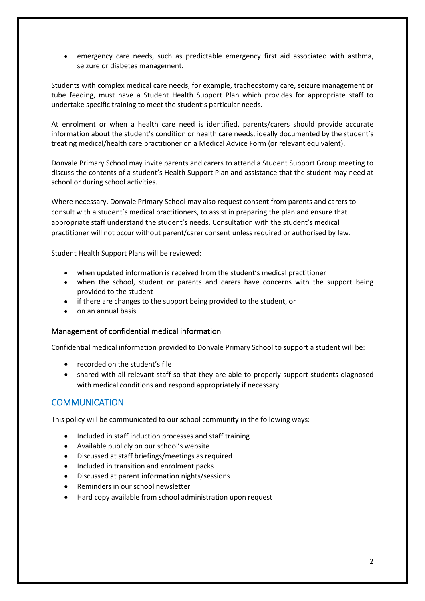• emergency care needs, such as predictable emergency first aid associated with asthma, seizure or diabetes management.

Students with complex medical care needs, for example, tracheostomy care, seizure management or tube feeding, must have a Student Health Support Plan which provides for appropriate staff to undertake specific training to meet the student's particular needs.

At enrolment or when a health care need is identified, parents/carers should provide accurate information about the student's condition or health care needs, ideally documented by the student's treating medical/health care practitioner on a Medical Advice Form (or relevant equivalent).

Donvale Primary School may invite parents and carers to attend a Student Support Group meeting to discuss the contents of a student's Health Support Plan and assistance that the student may need at school or during school activities.

Where necessary, Donvale Primary School may also request consent from parents and carers to consult with a student's medical practitioners, to assist in preparing the plan and ensure that appropriate staff understand the student's needs. Consultation with the student's medical practitioner will not occur without parent/carer consent unless required or authorised by law.

Student Health Support Plans will be reviewed:

- when updated information is received from the student's medical practitioner
- when the school, student or parents and carers have concerns with the support being provided to the student
- if there are changes to the support being provided to the student, or
- on an annual basis.

#### Management of confidential medical information

Confidential medical information provided to Donvale Primary School to support a student will be:

- recorded on the student's file
- shared with all relevant staff so that they are able to properly support students diagnosed with medical conditions and respond appropriately if necessary.

### **COMMUNICATION**

This policy will be communicated to our school community in the following ways:

- Included in staff induction processes and staff training
- Available publicly on our school's website
- Discussed at staff briefings/meetings as required
- Included in transition and enrolment packs
- Discussed at parent information nights/sessions
- Reminders in our school newsletter
- Hard copy available from school administration upon request